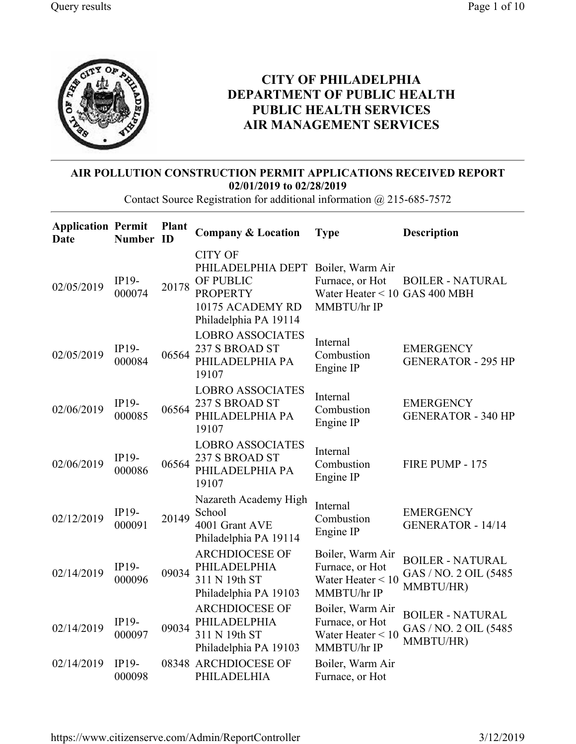

## CITY OF PHILADELPHIA DEPARTMENT OF PUBLIC HEALTH PUBLIC HEALTH SERVICES AIR MANAGEMENT SERVICES

## AIR POLLUTION CONSTRUCTION PERMIT APPLICATIONS RECEIVED REPORT 02/01/2019 to 02/28/2019

Contact Source Registration for additional information @ 215-685-7572

| <b>Application Permit</b><br>Date | Number ID              | <b>Plant</b> | <b>Company &amp; Location</b>                                                                                                     | <b>Type</b>                                                               | <b>Description</b>                                             |
|-----------------------------------|------------------------|--------------|-----------------------------------------------------------------------------------------------------------------------------------|---------------------------------------------------------------------------|----------------------------------------------------------------|
| 02/05/2019                        | IP19-<br>000074        | 20178        | <b>CITY OF</b><br>PHILADELPHIA DEPT Boiler, Warm Air<br>OF PUBLIC<br><b>PROPERTY</b><br>10175 ACADEMY RD<br>Philadelphia PA 19114 | Furnace, or Hot<br>Water Heater < 10 GAS 400 MBH<br>MMBTU/hr IP           | <b>BOILER - NATURAL</b>                                        |
| 02/05/2019                        | IP19-<br>000084        | 06564        | <b>LOBRO ASSOCIATES</b><br>237 S BROAD ST<br>PHILADELPHIA PA<br>19107                                                             | Internal<br>Combustion<br>Engine IP                                       | <b>EMERGENCY</b><br><b>GENERATOR - 295 HP</b>                  |
| 02/06/2019                        | IP19-<br>000085        | 06564        | <b>LOBRO ASSOCIATES</b><br>237 S BROAD ST<br>PHILADELPHIA PA<br>19107                                                             | Internal<br>Combustion<br>Engine IP                                       | <b>EMERGENCY</b><br><b>GENERATOR - 340 HP</b>                  |
| 02/06/2019                        | IP19-<br>000086        | 06564        | <b>LOBRO ASSOCIATES</b><br>237 S BROAD ST<br>PHILADELPHIA PA<br>19107                                                             | Internal<br>Combustion<br>Engine IP                                       | FIRE PUMP - 175                                                |
| 02/12/2019                        | $IP19-$<br>000091      | 20149        | Nazareth Academy High<br>School<br>4001 Grant AVE<br>Philadelphia PA 19114                                                        | Internal<br>Combustion<br>Engine IP                                       | <b>EMERGENCY</b><br><b>GENERATOR - 14/14</b>                   |
| 02/14/2019                        | IP19-<br>000096        | 09034        | <b>ARCHDIOCESE OF</b><br>PHILADELPHIA<br>311 N 19th ST<br>Philadelphia PA 19103                                                   | Boiler, Warm Air<br>Furnace, or Hot<br>Water Heater $< 10$<br>MMBTU/hr IP | <b>BOILER - NATURAL</b><br>GAS / NO. 2 OIL (5485)<br>MMBTU/HR) |
| 02/14/2019                        | IP19-<br>000097        | 09034        | <b>ARCHDIOCESE OF</b><br>PHILADELPHIA<br>311 N 19th ST<br>Philadelphia PA 19103                                                   | Boiler, Warm Air<br>Furnace, or Hot<br>Water Heater $< 10$<br>MMBTU/hr IP | <b>BOILER - NATURAL</b><br>GAS / NO. 2 OIL (5485<br>MMBTU/HR)  |
| 02/14/2019                        | <b>IP19-</b><br>000098 |              | 08348 ARCHDIOCESE OF<br>PHILADELHIA                                                                                               | Boiler, Warm Air<br>Furnace, or Hot                                       |                                                                |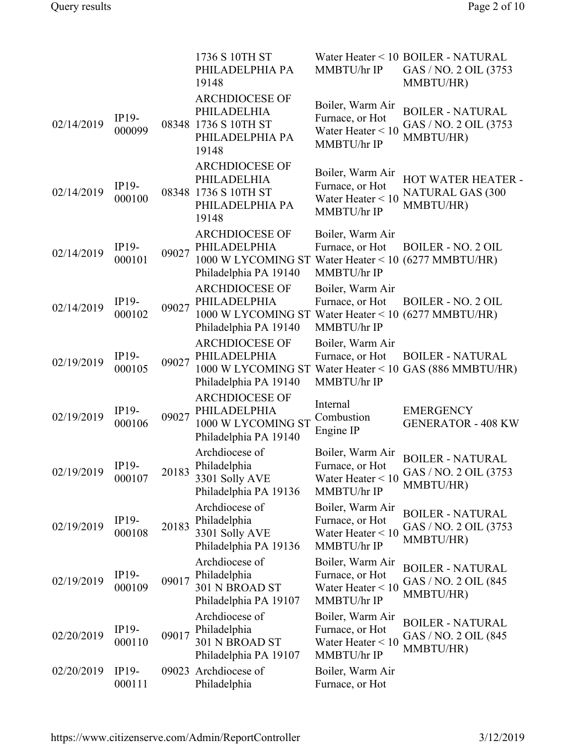|            |                   |       | 1736 S 10TH ST<br>PHILADELPHIA PA<br>19148                                                                             | MMBTU/hr IP                                                               | Water Heater < 10 BOILER - NATURAL<br>GAS / NO. 2 OIL (3753<br>MMBTU/HR) |
|------------|-------------------|-------|------------------------------------------------------------------------------------------------------------------------|---------------------------------------------------------------------------|--------------------------------------------------------------------------|
| 02/14/2019 | IP19-<br>000099   |       | <b>ARCHDIOCESE OF</b><br>PHILADELHIA<br>08348 1736 S 10TH ST<br>PHILADELPHIA PA<br>19148                               | Boiler, Warm Air<br>Furnace, or Hot<br>Water Heater $< 10$<br>MMBTU/hr IP | <b>BOILER - NATURAL</b><br>GAS / NO. 2 OIL (3753<br>MMBTU/HR)            |
| 02/14/2019 | IP19-<br>000100   |       | <b>ARCHDIOCESE OF</b><br>PHILADELHIA<br>08348 1736 S 10TH ST<br>PHILADELPHIA PA<br>19148                               | Boiler, Warm Air<br>Furnace, or Hot<br>Water Heater $< 10$<br>MMBTU/hr IP | HOT WATER HEATER -<br><b>NATURAL GAS (300</b><br>MMBTU/HR)               |
| 02/14/2019 | IP19-<br>000101   | 09027 | <b>ARCHDIOCESE OF</b><br>PHILADELPHIA<br>1000 W LYCOMING ST Water Heater < 10 (6277 MMBTU/HR)<br>Philadelphia PA 19140 | Boiler, Warm Air<br>Furnace, or Hot<br>MMBTU/hr IP                        | <b>BOILER - NO. 2 OIL</b>                                                |
| 02/14/2019 | IP19-<br>000102   | 09027 | <b>ARCHDIOCESE OF</b><br>PHILADELPHIA<br>1000 W LYCOMING ST Water Heater < 10 (6277 MMBTU/HR)<br>Philadelphia PA 19140 | Boiler, Warm Air<br>Furnace, or Hot<br>MMBTU/hr IP                        | <b>BOILER - NO. 2 OIL</b>                                                |
| 02/19/2019 | IP19-<br>000105   | 09027 | <b>ARCHDIOCESE OF</b><br>PHILADELPHIA<br>1000 W LYCOMING ST<br>Philadelphia PA 19140                                   | Boiler, Warm Air<br>Furnace, or Hot<br>MMBTU/hr IP                        | <b>BOILER - NATURAL</b><br>Water Heater < 10 GAS (886 MMBTU/HR)          |
| 02/19/2019 | IP19-<br>000106   | 09027 | <b>ARCHDIOCESE OF</b><br>PHILADELPHIA<br>1000 W LYCOMING ST<br>Philadelphia PA 19140                                   | Internal<br>Combustion<br>Engine IP                                       | <b>EMERGENCY</b><br><b>GENERATOR - 408 KW</b>                            |
| 02/19/2019 | $IP19-$<br>000107 | 20183 | Archdiocese of<br>Philadelphia<br>3301 Solly AVE<br>Philadelphia PA 19136                                              | Boiler, Warm Air<br>Furnace, or Hot<br>Water Heater $< 10$<br>MMBTU/hr IP | <b>BOILER - NATURAL</b><br>GAS / NO. 2 OIL (3753<br>MMBTU/HR)            |
| 02/19/2019 | IP19-<br>000108   | 20183 | Archdiocese of<br>Philadelphia<br>3301 Solly AVE<br>Philadelphia PA 19136                                              | Boiler, Warm Air<br>Furnace, or Hot<br>Water Heater $< 10$<br>MMBTU/hr IP | <b>BOILER - NATURAL</b><br>GAS / NO. 2 OIL (3753<br>MMBTU/HR)            |
| 02/19/2019 | $IP19-$<br>000109 | 09017 | Archdiocese of<br>Philadelphia<br>301 N BROAD ST<br>Philadelphia PA 19107                                              | Boiler, Warm Air<br>Furnace, or Hot<br>Water Heater $< 10$<br>MMBTU/hr IP | <b>BOILER - NATURAL</b><br>GAS / NO. 2 OIL (845<br>MMBTU/HR)             |
| 02/20/2019 | IP19-<br>000110   | 09017 | Archdiocese of<br>Philadelphia<br>301 N BROAD ST<br>Philadelphia PA 19107                                              | Boiler, Warm Air<br>Furnace, or Hot<br>Water Heater $< 10$<br>MMBTU/hr IP | <b>BOILER - NATURAL</b><br>GAS / NO. 2 OIL (845)<br>MMBTU/HR)            |
| 02/20/2019 | $IP19-$<br>000111 |       | 09023 Archdiocese of<br>Philadelphia                                                                                   | Boiler, Warm Air<br>Furnace, or Hot                                       |                                                                          |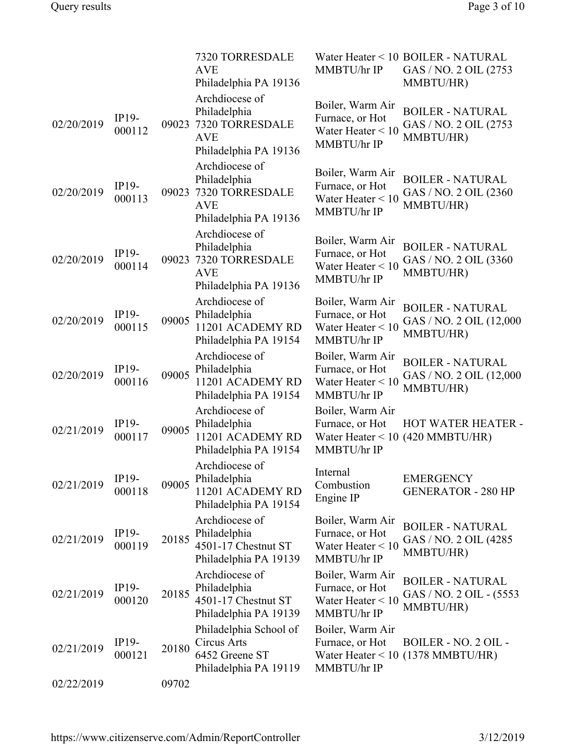|            |                   |       | 7320 TORRESDALE<br><b>AVE</b><br>Philadelphia PA 19136                                   | MMBTU/hr IP                                                               | Water Heater < 10 BOILER - NATURAL<br>GAS / NO. 2 OIL (2753<br>MMBTU/HR) |
|------------|-------------------|-------|------------------------------------------------------------------------------------------|---------------------------------------------------------------------------|--------------------------------------------------------------------------|
| 02/20/2019 | IP19-<br>000112   | 09023 | Archdiocese of<br>Philadelphia<br>7320 TORRESDALE<br><b>AVE</b><br>Philadelphia PA 19136 | Boiler, Warm Air<br>Furnace, or Hot<br>Water Heater $< 10$<br>MMBTU/hr IP | <b>BOILER - NATURAL</b><br>GAS / NO. 2 OIL (2753<br>MMBTU/HR)            |
| 02/20/2019 | $IP19-$<br>000113 | 09023 | Archdiocese of<br>Philadelphia<br>7320 TORRESDALE<br><b>AVE</b><br>Philadelphia PA 19136 | Boiler, Warm Air<br>Furnace, or Hot<br>Water Heater $< 10$<br>MMBTU/hr IP | <b>BOILER - NATURAL</b><br>GAS / NO. 2 OIL (2360)<br>MMBTU/HR)           |
| 02/20/2019 | $IP19-$<br>000114 | 09023 | Archdiocese of<br>Philadelphia<br>7320 TORRESDALE<br><b>AVE</b><br>Philadelphia PA 19136 | Boiler, Warm Air<br>Furnace, or Hot<br>Water Heater $< 10$<br>MMBTU/hr IP | <b>BOILER - NATURAL</b><br>GAS / NO. 2 OIL (3360<br>MMBTU/HR)            |
| 02/20/2019 | IP19-<br>000115   | 09005 | Archdiocese of<br>Philadelphia<br>11201 ACADEMY RD<br>Philadelphia PA 19154              | Boiler, Warm Air<br>Furnace, or Hot<br>Water Heater $< 10$<br>MMBTU/hr IP | <b>BOILER - NATURAL</b><br>GAS / NO. 2 OIL (12,000<br>MMBTU/HR)          |
| 02/20/2019 | $IP19-$<br>000116 | 09005 | Archdiocese of<br>Philadelphia<br>11201 ACADEMY RD<br>Philadelphia PA 19154              | Boiler, Warm Air<br>Furnace, or Hot<br>Water Heater $< 10$<br>MMBTU/hr IP | <b>BOILER - NATURAL</b><br>GAS / NO. 2 OIL (12,000<br>MMBTU/HR)          |
| 02/21/2019 | IP19-<br>000117   | 09005 | Archdiocese of<br>Philadelphia<br>11201 ACADEMY RD<br>Philadelphia PA 19154              | Boiler, Warm Air<br>Furnace, or Hot<br>Water Heater $< 10$<br>MMBTU/hr IP | <b>HOT WATER HEATER -</b><br>(420 MMBTU/HR)                              |
| 02/21/2019 | IP19-<br>000118   | 09005 | Archdiocese of<br>Philadelphia<br>11201 ACADEMY RD<br>Philadelphia PA 19154              | Internal<br>Combustion<br>Engine IP                                       | <b>EMERGENCY</b><br><b>GENERATOR - 280 HP</b>                            |
| 02/21/2019 | $IP19-$<br>000119 | 20185 | Archdiocese of<br>Philadelphia<br>4501-17 Chestnut ST<br>Philadelphia PA 19139           | Boiler, Warm Air<br>Furnace, or Hot<br>Water Heater $< 10$<br>MMBTU/hr IP | <b>BOILER - NATURAL</b><br>GAS / NO. 2 OIL (4285)<br>MMBTU/HR)           |
| 02/21/2019 | $IP19-$<br>000120 | 20185 | Archdiocese of<br>Philadelphia<br>4501-17 Chestnut ST<br>Philadelphia PA 19139           | Boiler, Warm Air<br>Furnace, or Hot<br>Water Heater $< 10$<br>MMBTU/hr IP | <b>BOILER - NATURAL</b><br>GAS / NO. 2 OIL - (5553<br>MMBTU/HR)          |
| 02/21/2019 | $IP19-$<br>000121 | 20180 | Philadelphia School of<br>Circus Arts<br>6452 Greene ST<br>Philadelphia PA 19119         | Boiler, Warm Air<br>Furnace, or Hot<br>MMBTU/hr IP                        | BOILER - NO. 2 OIL -<br>Water Heater $\leq 10$ (1378 MMBTU/HR)           |
| 02/22/2019 |                   | 09702 |                                                                                          |                                                                           |                                                                          |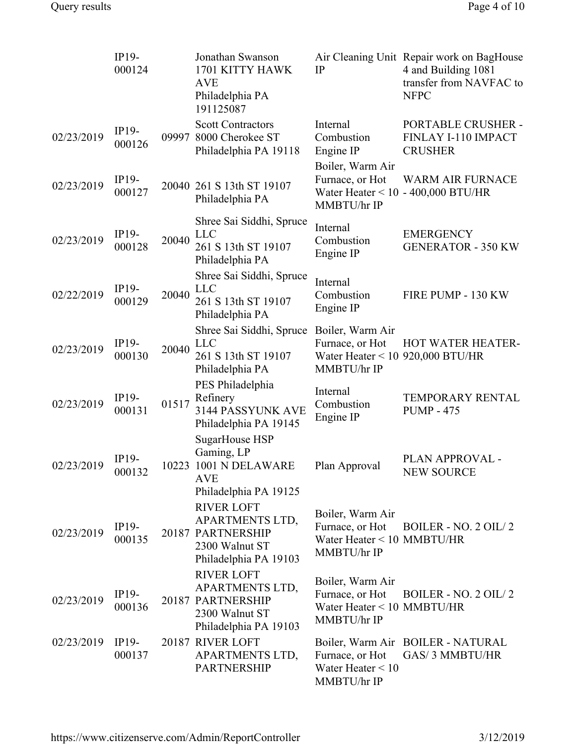|            | IP19-<br>000124   |       | Jonathan Swanson<br>1701 KITTY HAWK<br><b>AVE</b><br>Philadelphia PA<br>191125087                    | IP                                                                                       | Air Cleaning Unit Repair work on BagHouse<br>4 and Building 1081<br>transfer from NAVFAC to<br><b>NFPC</b> |
|------------|-------------------|-------|------------------------------------------------------------------------------------------------------|------------------------------------------------------------------------------------------|------------------------------------------------------------------------------------------------------------|
| 02/23/2019 | IP19-<br>000126   |       | <b>Scott Contractors</b><br>09997 8000 Cherokee ST<br>Philadelphia PA 19118                          | Internal<br>Combustion<br>Engine IP                                                      | PORTABLE CRUSHER -<br>FINLAY I-110 IMPACT<br><b>CRUSHER</b>                                                |
| 02/23/2019 | IP19-<br>000127   |       | 20040 261 S 13th ST 19107<br>Philadelphia PA                                                         | Boiler, Warm Air<br>Furnace, or Hot<br>MMBTU/hr IP                                       | <b>WARM AIR FURNACE</b><br>Water Heater $< 10 - 400,000$ BTU/HR                                            |
| 02/23/2019 | IP19-<br>000128   | 20040 | Shree Sai Siddhi, Spruce<br><b>LLC</b><br>261 S 13th ST 19107<br>Philadelphia PA                     | Internal<br>Combustion<br>Engine IP                                                      | <b>EMERGENCY</b><br><b>GENERATOR - 350 KW</b>                                                              |
| 02/22/2019 | IP19-<br>000129   | 20040 | Shree Sai Siddhi, Spruce<br><b>LLC</b><br>261 S 13th ST 19107<br>Philadelphia PA                     | Internal<br>Combustion<br>Engine IP                                                      | FIRE PUMP - 130 KW                                                                                         |
| 02/23/2019 | IP19-<br>000130   | 20040 | Shree Sai Siddhi, Spruce<br><b>LLC</b><br>261 S 13th ST 19107<br>Philadelphia PA                     | Boiler, Warm Air<br>Furnace, or Hot<br>Water Heater < $10$ 920,000 BTU/HR<br>MMBTU/hr IP | HOT WATER HEATER-                                                                                          |
| 02/23/2019 | IP19-<br>000131   | 01517 | PES Philadelphia<br>Refinery<br>3144 PASSYUNK AVE<br>Philadelphia PA 19145                           | Internal<br>Combustion<br>Engine IP                                                      | TEMPORARY RENTAL<br><b>PUMP - 475</b>                                                                      |
| 02/23/2019 | IP19-<br>000132   |       | SugarHouse HSP<br>Gaming, LP<br>10223 1001 N DELAWARE<br><b>AVE</b><br>Philadelphia PA 19125         | Plan Approval                                                                            | PLAN APPROVAL -<br><b>NEW SOURCE</b>                                                                       |
| 02/23/2019 | $IP19-$<br>000135 |       | <b>RIVER LOFT</b><br>APARTMENTS LTD,<br>20187 PARTNERSHIP<br>2300 Walnut ST<br>Philadelphia PA 19103 | Boiler, Warm Air<br>Furnace, or Hot<br>Water Heater < 10 MMBTU/HR<br>MMBTU/hr IP         | BOILER - NO. 2 OIL/2                                                                                       |
| 02/23/2019 | $IP19-$<br>000136 |       | <b>RIVER LOFT</b><br>APARTMENTS LTD,<br>20187 PARTNERSHIP<br>2300 Walnut ST<br>Philadelphia PA 19103 | Boiler, Warm Air<br>Furnace, or Hot<br>Water Heater $< 10$ MMBTU/HR<br>MMBTU/hr IP       | BOILER - NO. 2 OIL/2                                                                                       |
| 02/23/2019 | $IP19-$<br>000137 |       | 20187 RIVER LOFT<br>APARTMENTS LTD,<br><b>PARTNERSHIP</b>                                            | Furnace, or Hot<br>Water Heater $< 10$<br>MMBTU/hr IP                                    | Boiler, Warm Air BOILER - NATURAL<br><b>GAS/3 MMBTU/HR</b>                                                 |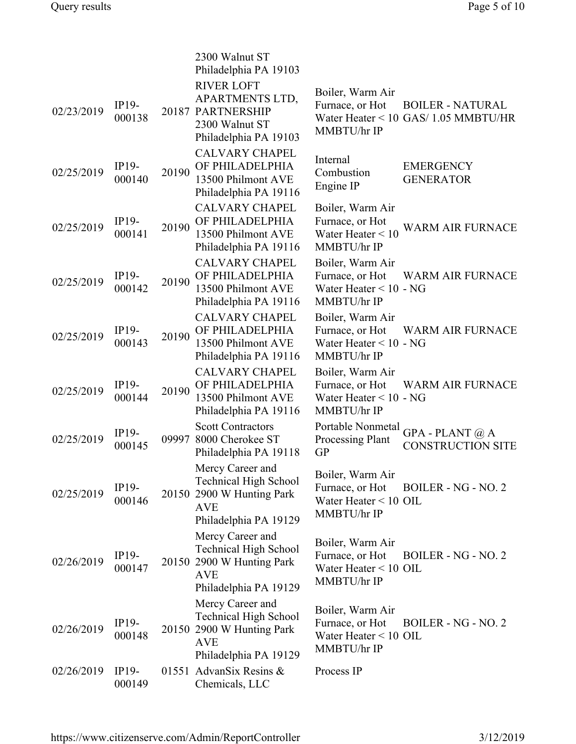|            |                   |       | 2300 Walnut ST<br>Philadelphia PA 19103                                                                              |                                                                                  |                                                                 |
|------------|-------------------|-------|----------------------------------------------------------------------------------------------------------------------|----------------------------------------------------------------------------------|-----------------------------------------------------------------|
| 02/23/2019 | IP19-<br>000138   |       | <b>RIVER LOFT</b><br>APARTMENTS LTD,<br>20187 PARTNERSHIP<br>2300 Walnut ST<br>Philadelphia PA 19103                 | Boiler, Warm Air<br>Furnace, or Hot<br>MMBTU/hr IP                               | <b>BOILER - NATURAL</b><br>Water Heater < 10 GAS/ 1.05 MMBTU/HR |
| 02/25/2019 | IP19-<br>000140   | 20190 | <b>CALVARY CHAPEL</b><br>OF PHILADELPHIA<br>13500 Philmont AVE<br>Philadelphia PA 19116                              | Internal<br>Combustion<br>Engine IP                                              | <b>EMERGENCY</b><br><b>GENERATOR</b>                            |
| 02/25/2019 | IP19-<br>000141   | 20190 | <b>CALVARY CHAPEL</b><br>OF PHILADELPHIA<br>13500 Philmont AVE<br>Philadelphia PA 19116                              | Boiler, Warm Air<br>Furnace, or Hot<br>Water Heater $< 10$<br>MMBTU/hr IP        | WARM AIR FURNACE                                                |
| 02/25/2019 | IP19-<br>000142   | 20190 | <b>CALVARY CHAPEL</b><br>OF PHILADELPHIA<br>13500 Philmont AVE<br>Philadelphia PA 19116                              | Boiler, Warm Air<br>Furnace, or Hot<br>Water Heater $< 10$ - NG<br>MMBTU/hr IP   | <b>WARM AIR FURNACE</b>                                         |
| 02/25/2019 | IP19-<br>000143   | 20190 | <b>CALVARY CHAPEL</b><br>OF PHILADELPHIA<br>13500 Philmont AVE<br>Philadelphia PA 19116                              | Boiler, Warm Air<br>Furnace, or Hot<br>Water Heater $< 10$ - NG<br>MMBTU/hr IP   | <b>WARM AIR FURNACE</b>                                         |
| 02/25/2019 | IP19-<br>000144   | 20190 | <b>CALVARY CHAPEL</b><br>OF PHILADELPHIA<br>13500 Philmont AVE<br>Philadelphia PA 19116                              | Boiler, Warm Air<br>Furnace, or Hot<br>Water Heater $< 10$ - NG<br>MMBTU/hr IP   | <b>WARM AIR FURNACE</b>                                         |
| 02/25/2019 | IP19-<br>000145   |       | <b>Scott Contractors</b><br>09997 8000 Cherokee ST<br>Philadelphia PA 19118                                          | Portable Nonmetal<br>Processing Plant<br><b>GP</b>                               | GPA - PLANT $@$ ${\bf A}$<br><b>CONSTRUCTION SITE</b>           |
| 02/25/2019 | IP19-<br>000146   |       | Mercy Career and<br><b>Technical High School</b><br>20150 2900 W Hunting Park<br><b>AVE</b><br>Philadelphia PA 19129 | Boiler, Warm Air<br>Furnace, or Hot<br>Water Heater $\leq 10$ OIL<br>MMBTU/hr IP | BOILER - NG - NO. 2                                             |
| 02/26/2019 | IP19-<br>000147   |       | Mercy Career and<br><b>Technical High School</b><br>20150 2900 W Hunting Park<br><b>AVE</b><br>Philadelphia PA 19129 | Boiler, Warm Air<br>Furnace, or Hot<br>Water Heater $\leq 10$ OIL<br>MMBTU/hr IP | <b>BOILER - NG - NO. 2</b>                                      |
| 02/26/2019 | $IP19-$<br>000148 |       | Mercy Career and<br><b>Technical High School</b><br>20150 2900 W Hunting Park<br><b>AVE</b><br>Philadelphia PA 19129 | Boiler, Warm Air<br>Furnace, or Hot<br>Water Heater < 10 OIL<br>MMBTU/hr IP      | <b>BOILER - NG - NO. 2</b>                                      |
| 02/26/2019 | $IP19-$<br>000149 |       | 01551 AdvanSix Resins &<br>Chemicals, LLC                                                                            | Process IP                                                                       |                                                                 |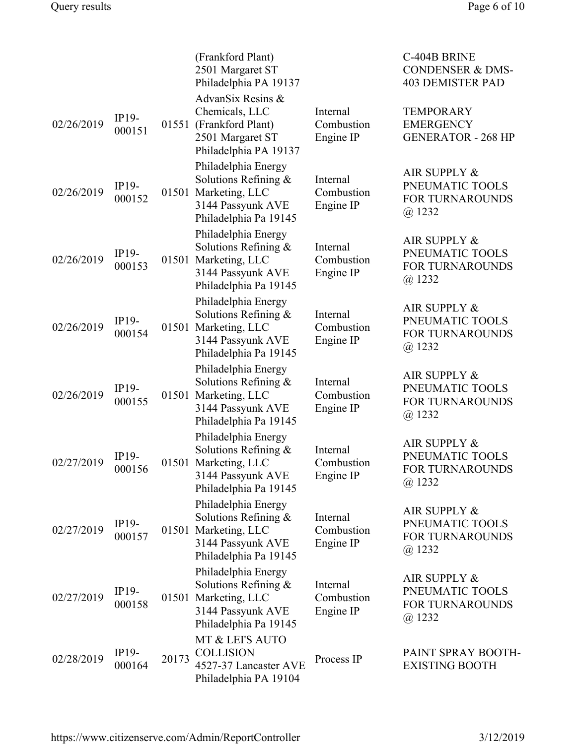|            |                   |       | (Frankford Plant)<br>2501 Margaret ST<br>Philadelphia PA 19137                                                    |                                     | C-404B BRINE<br><b>CONDENSER &amp; DMS-</b><br><b>403 DEMISTER PAD</b>  |
|------------|-------------------|-------|-------------------------------------------------------------------------------------------------------------------|-------------------------------------|-------------------------------------------------------------------------|
| 02/26/2019 | IP19-<br>000151   |       | AdvanSix Resins &<br>Chemicals, LLC<br>01551 (Frankford Plant)<br>2501 Margaret ST<br>Philadelphia PA 19137       | Internal<br>Combustion<br>Engine IP | <b>TEMPORARY</b><br><b>EMERGENCY</b><br><b>GENERATOR - 268 HP</b>       |
| 02/26/2019 | IP19-<br>000152   |       | Philadelphia Energy<br>Solutions Refining &<br>01501 Marketing, LLC<br>3144 Passyunk AVE<br>Philadelphia Pa 19145 | Internal<br>Combustion<br>Engine IP | AIR SUPPLY &<br>PNEUMATIC TOOLS<br><b>FOR TURNAROUNDS</b><br>$(a)$ 1232 |
| 02/26/2019 | IP19-<br>000153   |       | Philadelphia Energy<br>Solutions Refining &<br>01501 Marketing, LLC<br>3144 Passyunk AVE<br>Philadelphia Pa 19145 | Internal<br>Combustion<br>Engine IP | AIR SUPPLY &<br>PNEUMATIC TOOLS<br><b>FOR TURNAROUNDS</b><br>$(a)$ 1232 |
| 02/26/2019 | IP19-<br>000154   |       | Philadelphia Energy<br>Solutions Refining &<br>01501 Marketing, LLC<br>3144 Passyunk AVE<br>Philadelphia Pa 19145 | Internal<br>Combustion<br>Engine IP | AIR SUPPLY &<br>PNEUMATIC TOOLS<br><b>FOR TURNAROUNDS</b><br>$(a)$ 1232 |
| 02/26/2019 | IP19-<br>000155   |       | Philadelphia Energy<br>Solutions Refining &<br>01501 Marketing, LLC<br>3144 Passyunk AVE<br>Philadelphia Pa 19145 | Internal<br>Combustion<br>Engine IP | AIR SUPPLY &<br>PNEUMATIC TOOLS<br><b>FOR TURNAROUNDS</b><br>$(a)$ 1232 |
| 02/27/2019 | IP19-<br>000156   |       | Philadelphia Energy<br>Solutions Refining &<br>01501 Marketing, LLC<br>3144 Passyunk AVE<br>Philadelphia Pa 19145 | Internal<br>Combustion<br>Engine IP | AIR SUPPLY &<br>PNEUMATIC TOOLS<br><b>FOR TURNAROUNDS</b><br>@ 1232     |
| 02/27/2019 | IP19-<br>000157   |       | Philadelphia Energy<br>Solutions Refining &<br>01501 Marketing, LLC<br>3144 Passyunk AVE<br>Philadelphia Pa 19145 | Internal<br>Combustion<br>Engine IP | AIR SUPPLY &<br>PNEUMATIC TOOLS<br>FOR TURNAROUNDS<br>$(a)$ 1232        |
| 02/27/2019 | $IP19-$<br>000158 |       | Philadelphia Energy<br>Solutions Refining &<br>01501 Marketing, LLC<br>3144 Passyunk AVE<br>Philadelphia Pa 19145 | Internal<br>Combustion<br>Engine IP | AIR SUPPLY &<br>PNEUMATIC TOOLS<br>FOR TURNAROUNDS<br>$(a)$ 1232        |
| 02/28/2019 | IP19-<br>000164   | 20173 | MT & LEI'S AUTO<br><b>COLLISION</b><br>4527-37 Lancaster AVE<br>Philadelphia PA 19104                             | Process IP                          | PAINT SPRAY BOOTH-<br><b>EXISTING BOOTH</b>                             |

https://www.citizenserve.com/Admin/ReportController 3/12/2019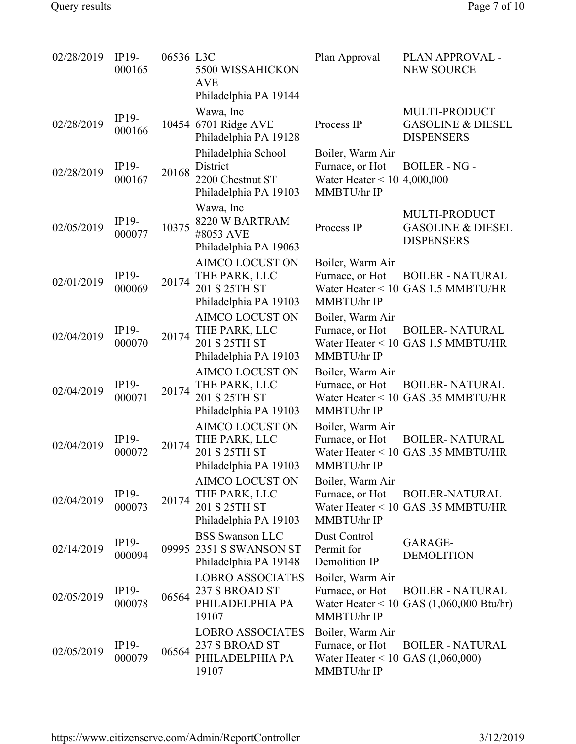| 02/28/2019 | $IP19-$<br>000165 | 06536 L3C | 5500 WISSAHICKON<br><b>AVE</b><br>Philadelphia PA 19144                           | Plan Approval                                                                             | PLAN APPROVAL -<br><b>NEW SOURCE</b>                                          |
|------------|-------------------|-----------|-----------------------------------------------------------------------------------|-------------------------------------------------------------------------------------------|-------------------------------------------------------------------------------|
| 02/28/2019 | IP19-<br>000166   |           | Wawa, Inc<br>10454 6701 Ridge AVE<br>Philadelphia PA 19128                        | Process IP                                                                                | MULTI-PRODUCT<br><b>GASOLINE &amp; DIESEL</b><br><b>DISPENSERS</b>            |
| 02/28/2019 | IP19-<br>000167   | 20168     | Philadelphia School<br>District<br>2200 Chestnut ST<br>Philadelphia PA 19103      | Boiler, Warm Air<br>Furnace, or Hot<br>Water Heater $< 10$<br>MMBTU/hr IP                 | <b>BOILER - NG -</b><br>4,000,000                                             |
| 02/05/2019 | IP19-<br>000077   | 10375     | Wawa, Inc<br>8220 W BARTRAM<br>#8053 AVE<br>Philadelphia PA 19063                 | Process IP                                                                                | MULTI-PRODUCT<br><b>GASOLINE &amp; DIESEL</b><br><b>DISPENSERS</b>            |
| 02/01/2019 | $IP19-$<br>000069 | 20174     | <b>AIMCO LOCUST ON</b><br>THE PARK, LLC<br>201 S 25TH ST<br>Philadelphia PA 19103 | Boiler, Warm Air<br>Furnace, or Hot<br>MMBTU/hr IP                                        | <b>BOILER - NATURAL</b><br>Water Heater < 10 GAS 1.5 MMBTU/HR                 |
| 02/04/2019 | IP19-<br>000070   | 20174     | <b>AIMCO LOCUST ON</b><br>THE PARK, LLC<br>201 S 25TH ST<br>Philadelphia PA 19103 | Boiler, Warm Air<br>Furnace, or Hot<br>MMBTU/hr IP                                        | <b>BOILER- NATURAL</b><br>Water Heater < 10 GAS 1.5 MMBTU/HR                  |
| 02/04/2019 | IP19-<br>000071   | 20174     | <b>AIMCO LOCUST ON</b><br>THE PARK, LLC<br>201 S 25TH ST<br>Philadelphia PA 19103 | Boiler, Warm Air<br>Furnace, or Hot<br>MMBTU/hr IP                                        | <b>BOILER-NATURAL</b><br>Water Heater < 10 GAS .35 MMBTU/HR                   |
| 02/04/2019 | IP19-<br>000072   | 20174     | <b>AIMCO LOCUST ON</b><br>THE PARK, LLC<br>201 S 25TH ST<br>Philadelphia PA 19103 | Boiler, Warm Air<br>Furnace, or Hot<br>MMBTU/hr IP                                        | <b>BOILER-NATURAL</b><br>Water Heater < 10 GAS .35 MMBTU/HR                   |
| 02/04/2019 | IP19-<br>000073   | 20174     | AIMCO LOCUST ON<br>THE PARK, LLC<br>201 S 25TH ST<br>Philadelphia PA 19103        | Boiler, Warm Air<br>Furnace, or Hot<br>MMBTU/hr IP                                        | <b>BOILER-NATURAL</b><br>Water Heater < 10 GAS .35 MMBTU/HR                   |
| 02/14/2019 | IP19-<br>000094   |           | <b>BSS Swanson LLC</b><br>09995 2351 S SWANSON ST<br>Philadelphia PA 19148        | Dust Control<br>Permit for<br>Demolition IP                                               | GARAGE-<br><b>DEMOLITION</b>                                                  |
| 02/05/2019 | $IP19-$<br>000078 | 06564     | <b>LOBRO ASSOCIATES</b><br>237 S BROAD ST<br>PHILADELPHIA PA<br>19107             | Boiler, Warm Air<br>Furnace, or Hot<br>MMBTU/hr IP                                        | <b>BOILER - NATURAL</b><br>Water Heater < 10 GAS $(1,060,000 \text{ Btu/hr})$ |
| 02/05/2019 | IP19-<br>000079   | 06564     | <b>LOBRO ASSOCIATES</b><br>237 S BROAD ST<br>PHILADELPHIA PA<br>19107             | Boiler, Warm Air<br>Furnace, or Hot<br>Water Heater < 10 GAS $(1,060,000)$<br>MMBTU/hr IP | <b>BOILER - NATURAL</b>                                                       |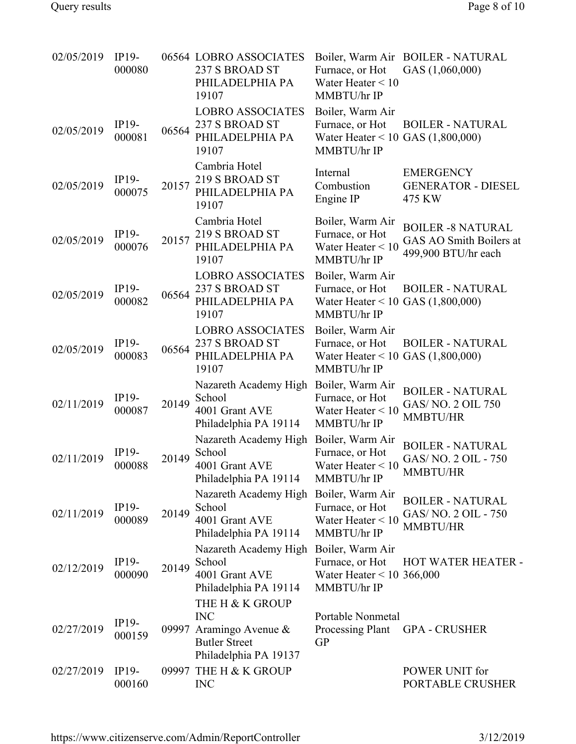| 02/05/2019 | $IP19-$<br>000080 |       | 06564 LOBRO ASSOCIATES<br>237 S BROAD ST<br>PHILADELPHIA PA<br>19107                                | Furnace, or Hot<br>Water Heater $< 10$<br>MMBTU/hr IP                                     | Boiler, Warm Air BOILER - NATURAL<br>GAS (1,060,000)                       |
|------------|-------------------|-------|-----------------------------------------------------------------------------------------------------|-------------------------------------------------------------------------------------------|----------------------------------------------------------------------------|
| 02/05/2019 | $IP19-$<br>000081 | 06564 | <b>LOBRO ASSOCIATES</b><br>237 S BROAD ST<br>PHILADELPHIA PA<br>19107                               | Boiler, Warm Air<br>Furnace, or Hot<br>Water Heater < 10 GAS $(1,800,000)$<br>MMBTU/hr IP | <b>BOILER - NATURAL</b>                                                    |
| 02/05/2019 | IP19-<br>000075   | 20157 | Cambria Hotel<br>219 S BROAD ST<br>PHILADELPHIA PA<br>19107                                         | Internal<br>Combustion<br>Engine IP                                                       | <b>EMERGENCY</b><br><b>GENERATOR - DIESEL</b><br>475 KW                    |
| 02/05/2019 | IP19-<br>000076   | 20157 | Cambria Hotel<br>219 S BROAD ST<br>PHILADELPHIA PA<br>19107                                         | Boiler, Warm Air<br>Furnace, or Hot<br>Water Heater $\leq 10$<br>MMBTU/hr IP              | <b>BOILER -8 NATURAL</b><br>GAS AO Smith Boilers at<br>499,900 BTU/hr each |
| 02/05/2019 | IP19-<br>000082   | 06564 | <b>LOBRO ASSOCIATES</b><br>237 S BROAD ST<br>PHILADELPHIA PA<br>19107                               | Boiler, Warm Air<br>Furnace, or Hot<br>Water Heater < 10 GAS $(1,800,000)$<br>MMBTU/hr IP | <b>BOILER - NATURAL</b>                                                    |
| 02/05/2019 | IP19-<br>000083   | 06564 | <b>LOBRO ASSOCIATES</b><br>237 S BROAD ST<br>PHILADELPHIA PA<br>19107                               | Boiler, Warm Air<br>Furnace, or Hot<br>Water Heater < 10 GAS $(1,800,000)$<br>MMBTU/hr IP | <b>BOILER - NATURAL</b>                                                    |
| 02/11/2019 | IP19-<br>000087   | 20149 | Nazareth Academy High<br>School<br>4001 Grant AVE<br>Philadelphia PA 19114                          | Boiler, Warm Air<br>Furnace, or Hot<br>Water Heater $< 10$<br>MMBTU/hr IP                 | <b>BOILER - NATURAL</b><br>GAS/NO. 2 OIL 750<br>MMBTU/HR                   |
| 02/11/2019 | $IP19-$<br>000088 | 20149 | Nazareth Academy High<br>School<br>4001 Grant AVE<br>Philadelphia PA 19114                          | Boiler, Warm Air<br>Furnace, or Hot<br>Water Heater $< 10$<br>MMBTU/hr IP                 | <b>BOILER - NATURAL</b><br>GAS/NO. 2 OIL - 750<br>MMBTU/HR                 |
| 02/11/2019 | IP19-<br>000089   | 20149 | Nazareth Academy High<br>School<br>4001 Grant AVE<br>Philadelphia PA 19114                          | Boiler, Warm Air<br>Furnace, or Hot<br>Water Heater $< 10$<br>MMBTU/hr IP                 | <b>BOILER - NATURAL</b><br>GAS/NO. 2 OIL - 750<br><b>MMBTU/HR</b>          |
| 02/12/2019 | IP19-<br>000090   | 20149 | Nazareth Academy High Boiler, Warm Air<br>School<br>4001 Grant AVE<br>Philadelphia PA 19114         | Furnace, or Hot<br>Water Heater $\leq 10$ 366,000<br>MMBTU/hr IP                          | HOT WATER HEATER -                                                         |
| 02/27/2019 | $IP19-$<br>000159 | 09997 | THE H & K GROUP<br><b>INC</b><br>Aramingo Avenue &<br><b>Butler Street</b><br>Philadelphia PA 19137 | Portable Nonmetal<br>Processing Plant<br><b>GP</b>                                        | <b>GPA - CRUSHER</b>                                                       |
| 02/27/2019 | $IP19-$<br>000160 |       | 09997 THE H & K GROUP<br><b>INC</b>                                                                 |                                                                                           | POWER UNIT for<br>PORTABLE CRUSHER                                         |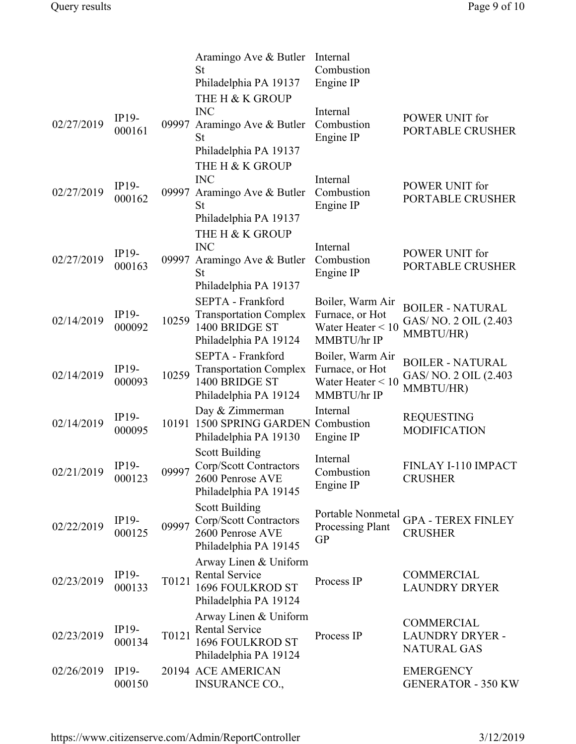|            |                 |       | Aramingo Ave & Butler<br>St                     | Internal<br>Combustion                |                                    |
|------------|-----------------|-------|-------------------------------------------------|---------------------------------------|------------------------------------|
|            |                 |       | Philadelphia PA 19137                           | Engine IP                             |                                    |
|            |                 |       | THE H & K GROUP                                 |                                       |                                    |
|            |                 |       | <b>INC</b>                                      | Internal                              |                                    |
| 02/27/2019 | $IP19-$         | 09997 | Aramingo Ave & Butler                           | Combustion                            | POWER UNIT for                     |
|            | 000161          |       | <b>St</b>                                       | Engine IP                             | PORTABLE CRUSHER                   |
|            |                 |       | Philadelphia PA 19137                           |                                       |                                    |
|            |                 |       | THE H & K GROUP                                 |                                       |                                    |
|            |                 |       | <b>INC</b>                                      | Internal                              |                                    |
| 02/27/2019 | IP19-<br>000162 | 09997 | Aramingo Ave & Butler                           | Combustion                            | POWER UNIT for<br>PORTABLE CRUSHER |
|            |                 |       | <b>St</b>                                       | Engine IP                             |                                    |
|            |                 |       | Philadelphia PA 19137                           |                                       |                                    |
|            |                 |       | THE H & K GROUP                                 |                                       |                                    |
|            | IP19-           |       | <b>INC</b>                                      | Internal                              | POWER UNIT for                     |
| 02/27/2019 | 000163          | 09997 | Aramingo Ave & Butler<br><b>St</b>              | Combustion<br>Engine IP               | PORTABLE CRUSHER                   |
|            |                 |       | Philadelphia PA 19137                           |                                       |                                    |
|            |                 |       | SEPTA - Frankford                               | Boiler, Warm Air                      |                                    |
|            | $IP19-$         |       | <b>Transportation Complex</b>                   | Furnace, or Hot                       | <b>BOILER - NATURAL</b>            |
| 02/14/2019 | 000092          | 10259 | 1400 BRIDGE ST                                  | Water Heater $\leq 10$                | GAS/NO. 2 OIL (2.403               |
|            |                 |       | Philadelphia PA 19124                           | MMBTU/hr IP                           | MMBTU/HR)                          |
|            |                 |       | SEPTA - Frankford                               | Boiler, Warm Air                      | <b>BOILER - NATURAL</b>            |
| 02/14/2019 | IP19-           | 10259 | <b>Transportation Complex</b>                   | Furnace, or Hot                       | GAS/NO. 2 OIL (2.403               |
|            | 000093          |       | 1400 BRIDGE ST                                  | Water Heater $< 10$                   | MMBTU/HR)                          |
|            |                 |       | Philadelphia PA 19124                           | MMBTU/hr IP                           |                                    |
|            | IP19-           |       | Day & Zimmerman                                 | Internal                              | <b>REQUESTING</b>                  |
| 02/14/2019 | 000095          |       | 10191 1500 SPRING GARDEN Combustion             | Engine IP                             | <b>MODIFICATION</b>                |
|            |                 |       | Philadelphia PA 19130                           |                                       |                                    |
|            | $IP19-$         |       | <b>Scott Building</b><br>Corp/Scott Contractors | Internal                              | FINLAY I-110 IMPACT                |
| 02/21/2019 | 000123          | 09997 | 2600 Penrose AVE                                | Combustion                            | <b>CRUSHER</b>                     |
|            |                 |       | Philadelphia PA 19145                           | Engine IP                             |                                    |
|            |                 |       | <b>Scott Building</b>                           |                                       |                                    |
| 02/22/2019 | IP19-           | 09997 | Corp/Scott Contractors                          | Portable Nonmetal<br>Processing Plant | <b>GPA - TEREX FINLEY</b>          |
|            | 000125          |       | 2600 Penrose AVE                                | <b>GP</b>                             | <b>CRUSHER</b>                     |
|            |                 |       | Philadelphia PA 19145                           |                                       |                                    |
|            |                 |       | Arway Linen & Uniform                           |                                       |                                    |
| 02/23/2019 | IP19-           | T0121 | <b>Rental Service</b>                           | Process IP                            | COMMERCIAL                         |
|            | 000133          |       | <b>1696 FOULKROD ST</b>                         |                                       | <b>LAUNDRY DRYER</b>               |
|            |                 |       | Philadelphia PA 19124                           |                                       |                                    |
|            | $IP19-$         |       | Arway Linen & Uniform<br><b>Rental Service</b>  |                                       | COMMERCIAL                         |
| 02/23/2019 | 000134          | T0121 | 1696 FOULKROD ST                                | Process IP                            | <b>LAUNDRY DRYER -</b>             |
|            |                 |       | Philadelphia PA 19124                           |                                       | <b>NATURAL GAS</b>                 |
| 02/26/2019 | $IP19-$         |       | 20194 ACE AMERICAN                              |                                       | <b>EMERGENCY</b>                   |
|            | 000150          |       | <b>INSURANCE CO.,</b>                           |                                       | <b>GENERATOR - 350 KW</b>          |